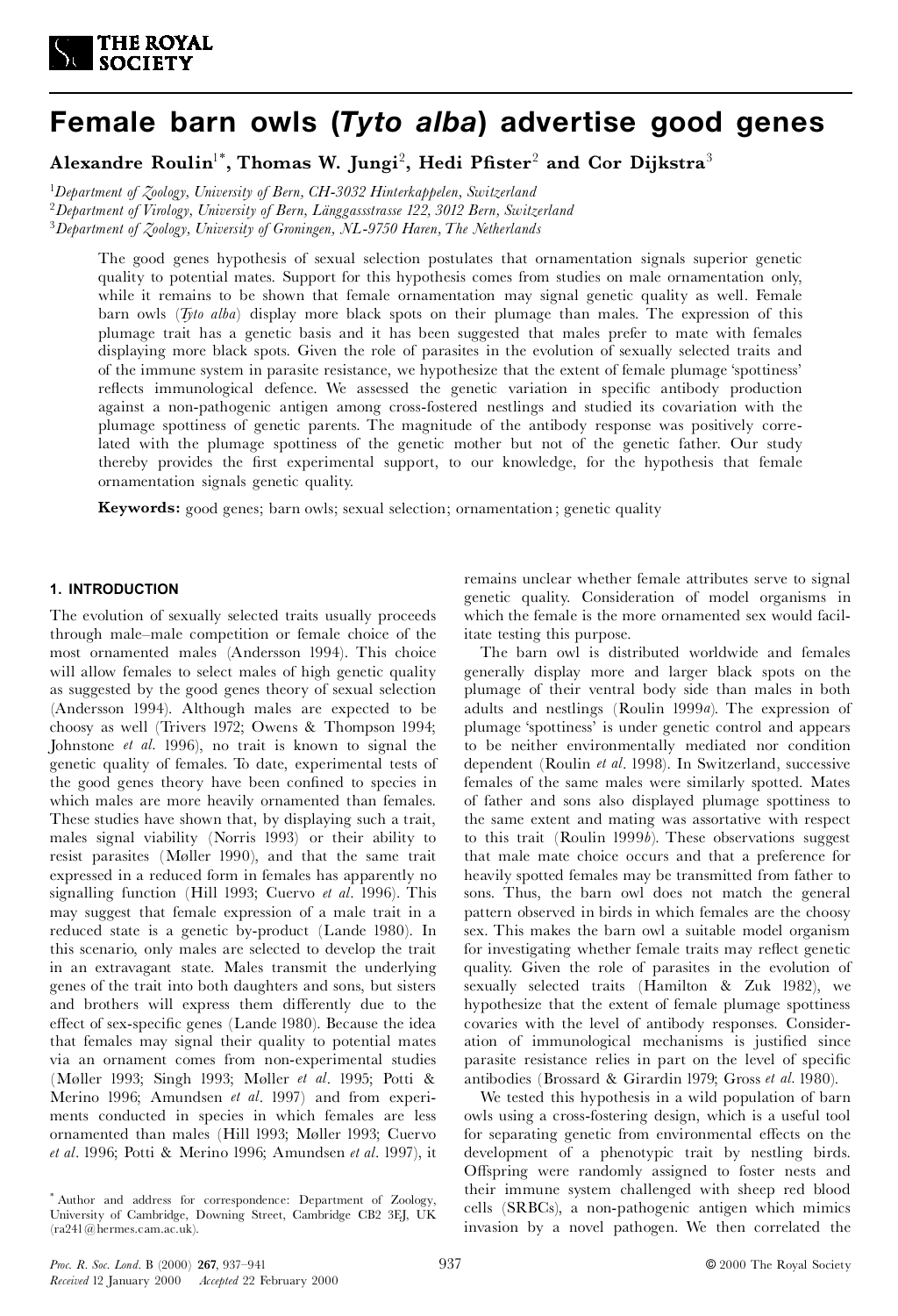

# **Female barn owls (***Tyto alba***) advertise good genes**

**Alexandre Roulin**1\* **, Thomas W. Jungi**<sup>2</sup> **, Hedi P¢ster**<sup>2</sup> **and Cor Dijkstra**<sup>3</sup>

<sup>1</sup>*Department of Zoology, University of Bern, CH-3032 Hinterkappelen, Switzerland* <sup>2</sup>*Department of Virology, University of Bern, LÌnggassstrasse 122, 3012 Bern, Switzerland* <sup>3</sup>*Department of Zoology, University of Groningen, NL-9750 Haren,The Netherlands*

The good genes hypothesis of sexual selection postulates that ornamentation signals superior genetic quality to potential mates. Support for this hypothesis comes from studies on male ornamentation only, while it remains to be shown that female ornamentation may signal genetic quality as well. Female barn owls (*Tyto alba*) display more black spots on their plumage than males. The expression of this plumage trait has a genetic basis and it has been suggested that males prefer to mate with females displaying more black spots. Given the role of parasites in the evolution of sexually selected traits and of the immune system in parasite resistance, we hypothesize that the extent of female plumage `spottiness' reflects immunological defence. We assessed the genetic variation in specific antibody production against a non-pathogenic antigen among cross-fostered nestlings and studied its covariation with the plumage spottiness of genetic parents. The magnitude of the antibody response was positively correlated with the plumage spottiness of the genetic mother but not of the genetic father. Our study thereby provides the first experimental support, to our knowledge, for the hypothesis that female ornamentation signals genetic quality.

**Keywords:** good genes; barn owls; sexual selection; ornamentation ; genetic quality

# **1. INTRODUCTION**

The evolution of sexually selected traits usually proceeds through male^male competition or female choice of the most ornamented males (Andersson 1994). This choice will allow females to select males of high genetic quality as suggested by the good genes theory of sexual selection (Andersson 1994). Although males are expected to be choosy as well (Trivers 1972; Owens & Thompson 1994; Johnstone *et al.* 1996), no trait is known to signal the genetic quality of females. To date, experimental tests of the good genes theory have been confined to species in which males are more heavily ornamented than females. These studies have shown that, by displaying such a trait, males signal viability (Norris 1993) or their ability to resist parasites (Møller 1990), and that the same trait expressed in a reduced form in females has apparently no signalling function (Hill 1993; Cuervo *et al*. 1996). This may suggest that female expression of a male trait in a reduced state is a genetic by-product (Lande 1980). In this scenario, only males are selected to develop the trait in an extravagant state. Males transmit the underlying genes of the trait into both daughters and sons, but sisters and brothers will express them differently due to the effect of sex-specific genes (Lande 1980). Because the idea that females may signal their quality to potential mates via an ornament comes from non-experimental studies (Møller 1993; Singh 1993; Møller *et al.* 1995; Potti & Merino 1996; Amundsen *et al*. 1997) and from experiments conducted in species in which females are less ornamented than males (Hill 1993; Møller 1993; Cuervo *et al*. 1996; Potti & Merino 1996; Amundsen *et al*. 1997), it

remains unclear whether female attributes serve to signal genetic quality. Consideration of model organisms in which the female is the more ornamented sex would facilitate testing this purpose.

The barn owl is distributed worldwide and females generally display more and larger black spots on the plumage of their ventral body side than males in both adults and nestlings (Roulin 1999*a*). The expression of plumage `spottiness' is under genetic control and appears to be neither environmentally mediated nor condition dependent (Roulin *et al*. 1998). In Switzerland, successive females of the same males were similarly spotted. Mates of father and sons also displayed plumage spottiness to the same extent and mating was assortative with respect to this trait (Roulin 1999*b*). These observations suggest that male mate choice occurs and that a preference for heavily spotted females may be transmitted from father to sons. Thus, the barn owl does not match the general pattern observed in birds in which females are the choosy sex. This makes the barn owl a suitable model organism for investigating whether female traits may reflect genetic quality. Given the role of parasites in the evolution of sexually selected traits (Hamilton & Zuk 1982), we hypothesize that the extent of female plumage spottiness covaries with the level of antibody responses. Consideration of immunological mechanisms is justified since parasite resistance relies in part on the level of specific antibodies (Brossard & Girardin 1979; Gross *et al.* 1980).

We tested this hypothesis in a wild population of barn owls using a cross-fostering design, which is a useful tool for separating genetic from environmental effects on the development of a phenotypic trait by nestling birds. Offspring were randomly assigned to foster nests and their immune system challenged with sheep red blood cells (SRBCs), a non-pathogenic antigen which mimics invasion by a novel pathogen. We then correlated the

<sup>\*</sup> Author and address for correspondence: Department of Zoology, University of Cambridge, Downing Street, Cambridge CB2 3EJ, UK (ra241@hermes.cam.ac.uk).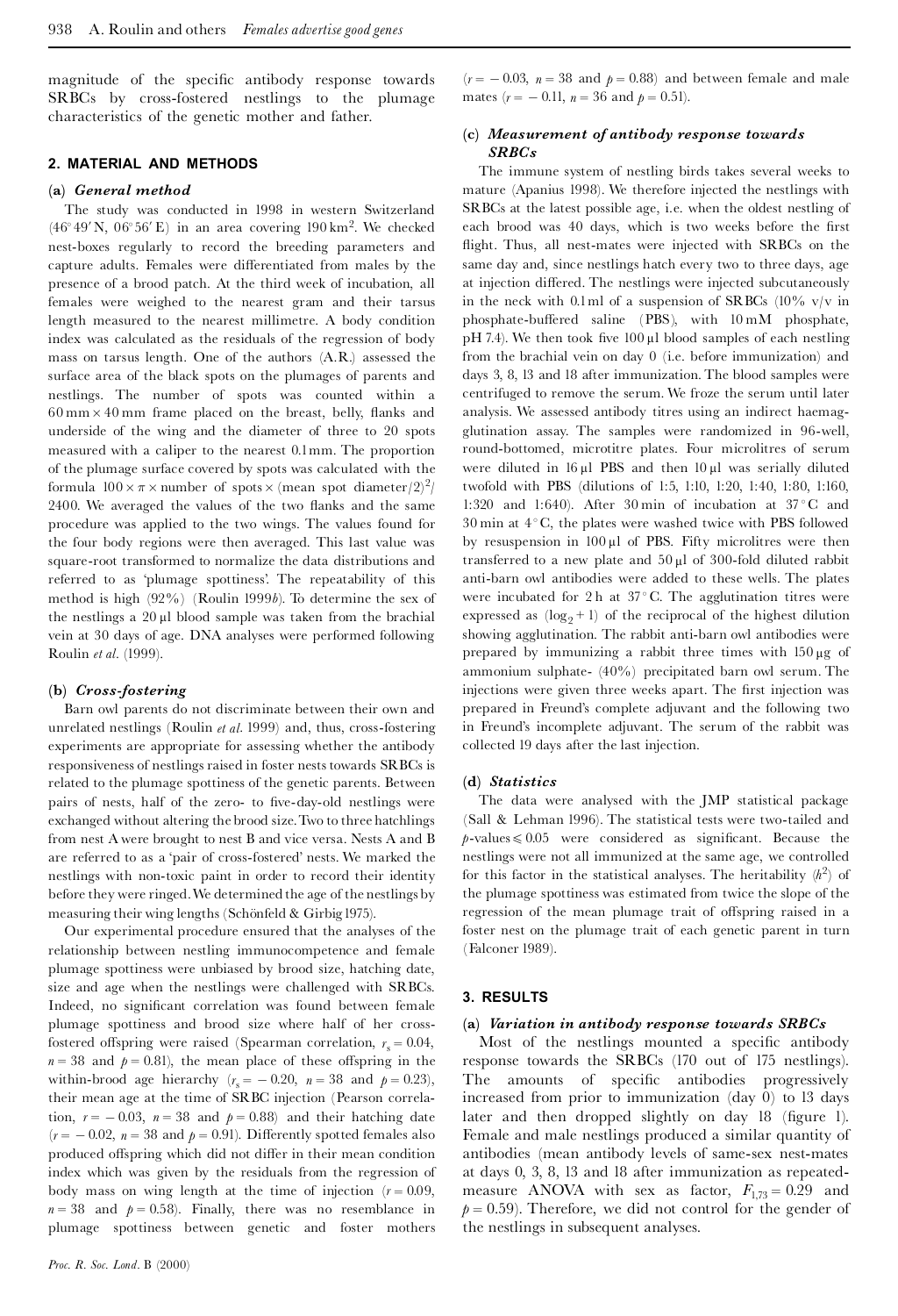magnitude of the specific antibody response towards SRBCs by cross-fostered nestlings to the plumage characteristics of the genetic mother and father.

## **2. MATERIAL AND METHODS**

#### **(a)** *General method*

The study was conducted in 1998 in western Switzerland  $(46°49' N, 06°56' E)$  in an area covering 190 km<sup>2</sup>. We checked nest-boxes regularly to record the breeding parameters and capture adults. Females were differentiated from males by the presence of a brood patch. At the third week of incubation, all females were weighed to the nearest gram and their tarsus length measured to the nearest millimetre. A body condition index was calculated as the residuals of the regression of body mass on tarsus length. One of the authors (A.R.) assessed the surface area of the black spots on the plumages of parents and nestlings. The number of spots was counted within a  $60 \text{ mm} \times 40 \text{ mm}$  frame placed on the breast, belly, flanks and underside of the wing and the diameter of three to 20 spots measured with a caliper to the nearest 0.1mm. The proportion of the plumage surface covered by spots was calculated with the formula  $100 \times \pi \times$  number of spots  $\times$  (mean spot diameter/2)<sup>2</sup>/ 2400. We averaged the values of the two flanks and the same procedure was applied to the two wings. The values found for the four body regions were then averaged. This last value was square-root transformed to normalize the data distributions and referred to as `plumage spottiness'. The repeatability of this method is high (92%) (Roulin 1999*b*). To determine the sex of the nestlings a  $20 \mu l$  blood sample was taken from the brachial vein at 30 days of age. DNA analyses were performed following Roulin *et al.* (1999).

### **(b)** *Cross-fostering*

Barn owl parents do not discriminate between their own and unrelated nestlings (Roulin *etal*. 1999) and, thus, cross-fostering experiments are appropriate for assessing whether the antibody responsiveness of nestlings raised in foster nests towards SRBCs is related to the plumage spottiness of the genetic parents. Between pairs of nests, half of the zero- to five-day-old nestlings were exchanged without altering the brood size.Two to three hatchlings from nest A were brought to nest B and vice versa. Nests A and B are referred to as a 'pair of cross-fostered' nests. We marked the nestlings with non-toxic paint in order to record their identity before they were ringed.We determined the age of the nestlings by measuring their wing lengths (Schönfeld & Girbig 1975).

Our experimental procedure ensured that the analyses of the relationship between nestling immunocompetence and female plumage spottiness were unbiased by brood size, hatching date, size and age when the nestlings were challenged with SRBCs. Indeed, no significant correlation was found between female plumage spottiness and brood size where half of her crossfostered offspring were raised (Spearman correlation,  $r_s = 0.04$ ,  $n = 38$  and  $p = 0.81$ , the mean place of these offspring in the within-brood age hierarchy  $(r<sub>s</sub> = -0.20, n = 38$  and  $p = 0.23)$ , their mean age at the time of SRBC injection (Pearson correlation,  $r = -0.03$ ,  $n = 38$  and  $p = 0.88$ ) and their hatching date  $(r = -0.02, n = 38$  and  $p = 0.91$ ). Differently spotted females also produced offspring which did not differ in their mean condition index which was given by the residuals from the regression of body mass on wing length at the time of injection  $(r = 0.09,$  $n = 38$  and  $p = 0.58$ ). Finally, there was no resemblance in plumage spottiness between genetic and foster mothers

 $(r = -0.03, n = 38$  and  $p = 0.88$ ) and between female and male mates  $(r = -0.11, n = 36$  and  $p = 0.51$ .

## **(c)** *Measurement of antibody response towards SRBCs*

The immune system of nestling birds takes several weeks to mature (Apanius 1998). We therefore injected the nestlings with SRBCs at the latest possible age, i.e. when the oldest nestling of each brood was 40 days, which is two weeks before the first flight. Thus, all nest-mates were injected with SRBCs on the same day and, since nestlings hatch every two to three days, age at injection differed. The nestlings were injected subcutaneously in the neck with 0.1ml of a suspension of SRBCs  $(10\% \text{ v/v in})$ phosphate-buffered saline (PBS), with  $10 \text{ mM}$  phosphate, pH 7.4). We then took five  $100 \mu l$  blood samples of each nestling from the brachial vein on day 0 (i.e. before immunization) and days 3, 8, 13 and 18 after immunization. The blood samples were centrifuged to remove the serum. We froze the serum until later analysis. We assessed antibody titres using an indirect haemagglutination assay. The samples were randomized in 96-well, round-bottomed, microtitre plates. Four microlitres of serum were diluted in  $16 \mu l$  PBS and then  $10 \mu l$  was serially diluted twofold with PBS (dilutions of 1:5, 1:10, 1:20, 1:40, 1:80, 1:160, 1:320 and 1:640). After 30 min of incubation at  $37^{\circ}$ C and  $30 \text{ min at } 4^{\circ} \text{ C}$ , the plates were washed twice with PBS followed by resuspension in  $100 \mu l$  of PBS. Fifty microlitres were then transferred to a new plate and  $50 \mu l$  of 300-fold diluted rabbit anti-barn owl antibodies were added to these wells. The plates were incubated for 2 h at  $37^{\circ}$ C. The agglutination titres were expressed as  $(\log_2 + 1)$  of the reciprocal of the highest dilution showing agglutination. The rabbit anti-barn owl antibodies were prepared by immunizing a rabbit three times with  $150 \mu g$  of ammonium sulphate- (40%) precipitated barn owl serum. The injections were given three weeks apart. The first injection was prepared in Freund's complete adjuvant and the following two in Freund's incomplete adjuvant. The serum of the rabbit was collected 19 days after the last injection.

#### **(d)** *Statistics*

The data were analysed with the JMP statistical package (Sall & Lehman 1996). The statistical tests were two-tailed and  $p$ -values  $\leq 0.05$  were considered as significant. Because the nestlings were not all immunized at the same age, we controlled for this factor in the statistical analyses. The heritability  $(h^2)$  of the plumage spottiness was estimated from twice the slope of the regression of the mean plumage trait of offspring raised in a foster nest on the plumage trait of each genetic parent in turn (Falconer 1989).

#### **3. RESULTS**

#### **(a)** *Variation in antibody response towards SRBCs*

Most of the nestlings mounted a specific antibody response towards the SRBCs (170 out of 175 nestlings). The amounts of specific antibodies progressively increased from prior to immunization (day 0) to 13 days later and then dropped slightly on day 18 (figure 1). Female and male nestlings produced a similar quantity of antibodies (mean antibody levels of same-sex nest-mates at days 0, 3, 8, 13 and 18 after immunization as repeated measure ANOVA with sex as factor,  $F_{1,73} = 0.29$  and  $p = 0.59$ ). Therefore, we did not control for the gender of the nestlings in subsequent analyses.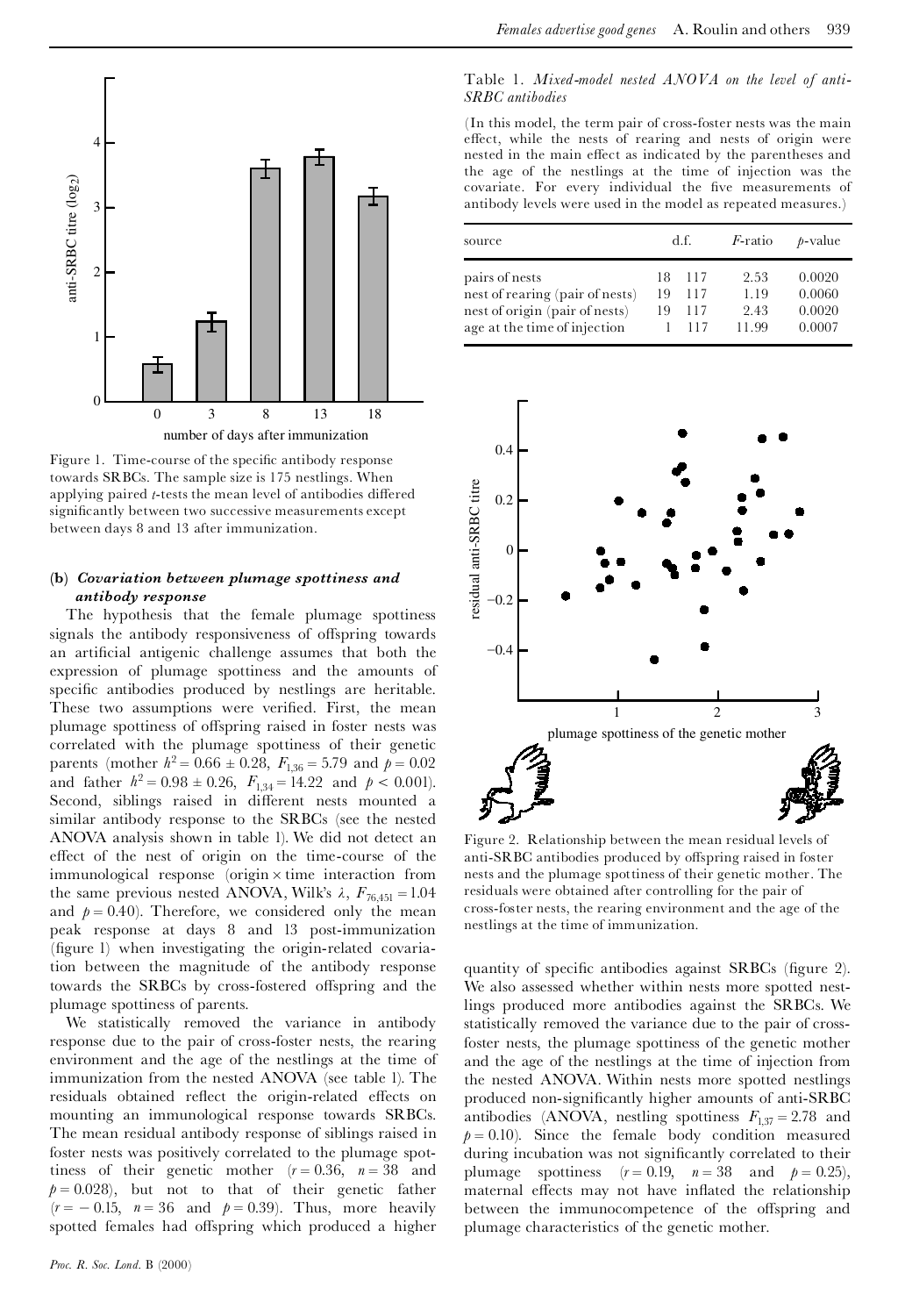

Figure 1. Time-course of the specific antibody response towards SRBCs. The sample size is 175 nestlings. When applying paired *t*-tests the mean level of antibodies differed significantly between two successive measurements except between days 8 and 13 after immunization.

## **(b)** *Covariation between plumage spottiness and antibody response*

The hypothesis that the female plumage spottiness signals the antibody responsiveness of offspring towards an artificial antigenic challenge assumes that both the expression of plumage spottiness and the amounts of specific antibodies produced by nestlings are heritable. These two assumptions were verified. First, the mean plumage spottiness of offspring raised in foster nests was correlated with the plumage spottiness of their genetic parents (mother  $h^2 = 0.66 \pm 0.28$ ,  $F_{1,36} = 5.79$  and  $p = 0.02$ and father  $h^2 = 0.98 \pm 0.26$ ,  $F_{1,34} = 14.22$  and  $p < 0.001$ ). Second, siblings raised in different nests mounted a similar antibody response to the SRBCs (see the nested ANOVA analysis shown in table 1). We did not detect an effect of the nest of origin on the time-course of the  $immunological response$  (origin  $\times$  time interaction from the same previous nested ANOVA, Wilk's  $\lambda$ ,  $F_{76,451} = 1.04$ and  $p = 0.40$ ). Therefore, we considered only the mean peak response at days 8 and 13 post-immunization (figure 1) when investigating the origin-related covariation between the magnitude of the antibody response towards the SRBCs by cross-fostered offspring and the plumage spottiness of parents.

We statistically removed the variance in antibody response due to the pair of cross-foster nests, the rearing environment and the age of the nestlings at the time of immunization from the nested ANOVA (see table 1). The residuals obtained reflect the origin-related effects on mounting an immunological response towards SRBCs. The mean residual antibody response of siblings raised in foster nests was positively correlated to the plumage spottiness of their genetic mother  $(r = 0.36, n = 38$  and plumage spottiness  $(r = 0.19, n = 38$  and  $p = 0.25)$ ,  $p = 0.028$ , but not to that of their genetic father  $(r = -0.15, n = 36$  and  $p = 0.39$ ). Thus, more heavily spotted females had offspring which produced a higher

## Table 1. *Mixed-model nested ANOVA on the level of anti-SRBC antibodies*

(In this model, the term pair of cross-foster nests was the main effect, while the nests of rearing and nests of origin were nested in the main effect as indicated by the parentheses and the age of the nestlings at the time of injection was the covariate. For every individual the five measurements of antibody levels were used in the model as repeated measures.)

| source                                                            | d.f.     |            | <i>F</i> -ratio | <i>b</i> -value  |
|-------------------------------------------------------------------|----------|------------|-----------------|------------------|
| pairs of nests                                                    | 18.      | 117        | 2.53            | 0.0020           |
| nest of rearing (pair of nests)<br>nest of origin (pair of nests) | 19<br>19 | 117<br>117 | 1.19<br>2.43    | 0.0060<br>0.0020 |
| age at the time of injection                                      |          | 117        | 11.99           | 0.0007           |



Figure 2. Relationship between the mean residual levels of anti-SRBC antibodies produced by offspring raised in foster nests and the plumage spottiness of their genetic mother. The residuals were obtained after controlling for the pair of cross-foster nests, the rearing environment and the age of the nestlings at the time of immunization.

quantity of specific antibodies against SRBCs (figure 2). We also assessed whether within nests more spotted nestlings produced more antibodies against the SRBCs. We statistically removed the variance due to the pair of crossfoster nests, the plumage spottiness of the genetic mother and the age of the nestlings at the time of injection from the nested ANOVA. Within nests more spotted nestlings produced non-significantly higher amounts of anti-SRBC antibodies (ANOVA, nestling spottiness  $F_{1,37} = 2.78$  and  $p = 0.10$ ). Since the female body condition measured during incubation was not significantly correlated to their maternal effects may not have inflated the relationship between the immunocompetence of the offspring and plumage characteristics of the genetic mother.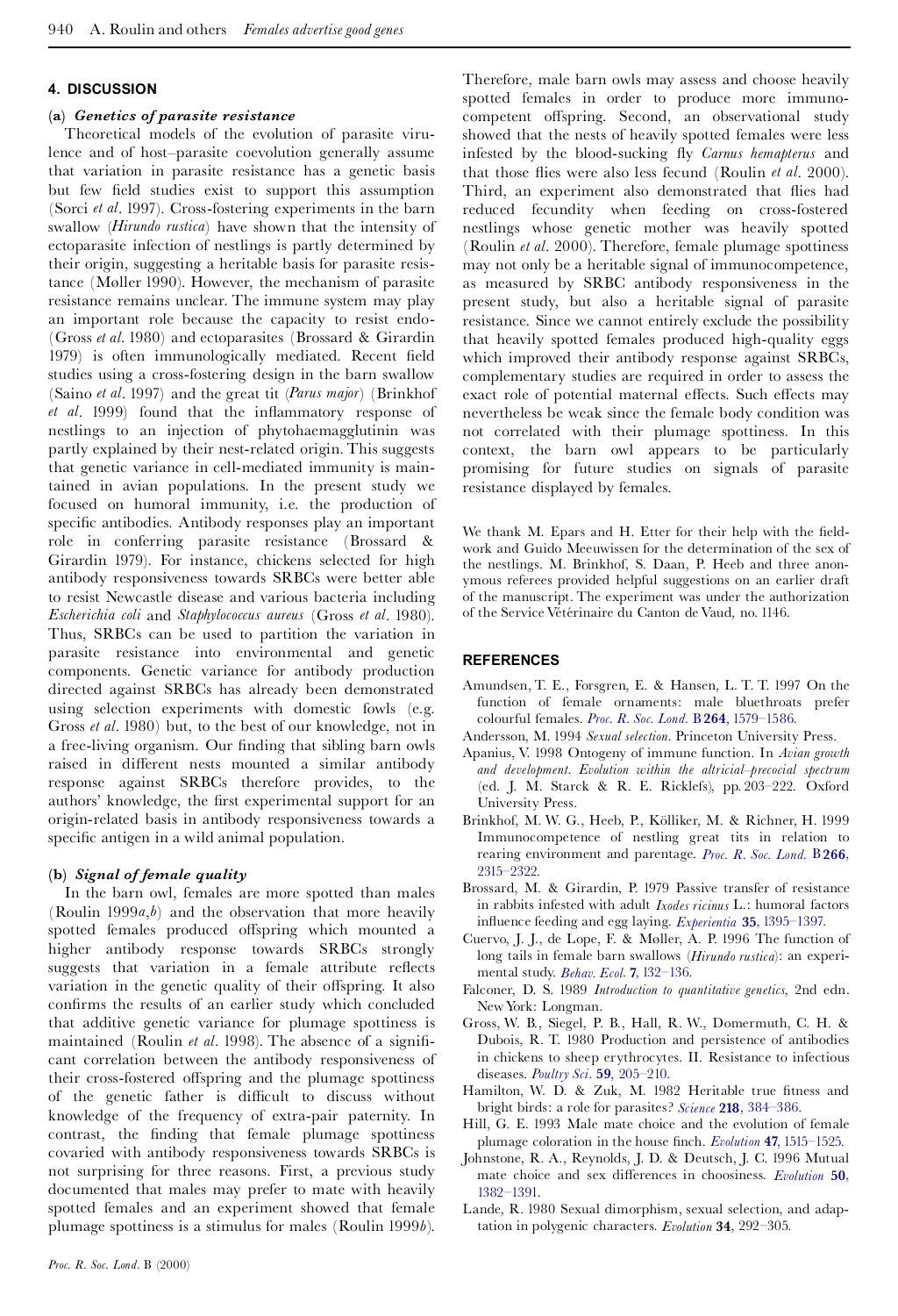# **4. DISCUSSION**

## **(a)** *Genetics of parasite resistance*

Theoretical models of the evolution of parasite virulence and of host-parasite coevolution generally assume that variation in parasite resistance has a genetic basis but few field studies exist to support this assumption (Sorci *et al*. 1997). Cross-fostering experiments in the barn swallow (*Hirundo rustica*) have shown that the intensity of ectoparasite infection of nestlings is partly determined by their origin, suggesting a heritable basis for parasite resistance (Møller 1990). However, the mechanism of parasite resistance remains unclear. The immune system may play an important role because the capacity to resist endo- (Gross *et al*. 1980) and ectoparasites (Brossard & Girardin 1979) is often immunologically mediated. Recent field studies using a cross-fostering design in the barn swallow (Saino *et al*. 1997) and the great tit (*Parus major*) (Brinkhof *et al.* 1999) found that the inflammatory response of nestlings to an injection of phytohaemagglutinin was partly explained by their nest-related origin. This suggests that genetic variance in cell-mediated immunity is maintained in avian populations. In the present study we focused on humoral immunity, i.e. the production of specific antibodies. Antibody responses play an important role in conferring parasite resistance (Brossard & Girardin 1979). For instance, chickens selected for high antibody responsiveness towards SRBCs were better able to resist Newcastle disease and various bacteria including *Escherichia coli* and *Staphylococcus aureus* (Gross *et al*. 1980). Thus, SRBCs can be used to partition the variation in parasite resistance into environmental and genetic components. Genetic variance for antibody production directed against SRBCs has already been demonstrated using selection experiments with domestic fowls (e.g. Gross *et al*. 1980) but, to the best of our knowledge, not in a free-living organism. Our finding that sibling barn owls raised in different nests mounted a similar antibody response against SRBCs therefore provides, to the authors' knowledge, the first experimental support for an origin-related basis in antibody responsiveness towards a specific antigen in a wild animal population.

# **(b)** *Signal of female quality*

In the barn owl, females are more spotted than males (Roulin 1999*a*,*b*) and the observation that more heavily spotted females produced offspring which mounted a higher antibody response towards SRBCs strongly suggests that variation in a female attribute reflects variation in the genetic quality of their offspring. It also confirms the results of an earlier study which concluded that additive genetic variance for plumage spottiness is maintained (Roulin *et al.* 1998). The absence of a significant correlation between the antibody responsiveness of their cross-fostered offspring and the plumage spottiness of the genetic father is difficult to discuss without knowledge of the frequency of extra-pair paternity. In contrast, the finding that female plumage spottiness covaried with antibody responsiveness towards SRBCs is not surprising for three reasons. First, a previous study documented that males may prefer to mate with heavily spotted females and an experiment showed that female plumage spottiness is a stimulus for males (Roulin 1999*b*). Therefore, male barn owls may assess and choose heavily spotted females in order to produce more immunocompetent offspring. Second, an observational study showed that the nests of heavily spotted females were less infested by the blood-sucking £y *Carnus hemapterus* and that those flies were also less fecund (Roulin *et al.* 2000). Third, an experiment also demonstrated that flies had reduced fecundity when feeding on cross-fostered nestlings whose genetic mother was heavily spotted (Roulin *et al.* 2000). Therefore, female plumage spottiness may not only be a heritable signal of immunocompetence, as measured by SRBC antibody responsiveness in the present study, but also a heritable signal of parasite resistance. Since we cannot entirely exclude the possibility that heavily spotted females produced high-quality eggs which improved their antibody response against SRBCs, complementary studies are required in order to assess the exact role of potential maternal effects. Such effects may nevertheless be weak since the female body condition was not correlated with their plumage spottiness. In this context, the barn owl appears to be particularly promising for future studies on signals of parasite resistance displayed by females.

We thank M. Epars and H. Etter for their help with the fieldwork and Guido Meeuwissen for the determination of the sex of the nestlings. M. Brinkhof, S. Daan, P. Heeb and three anon ymous referees provided helpful suggestions on an earlier draft of the manuscript. The experiment was under the authorization of the Service Vétérinaire du Canton de Vaud, no. 1146.

# **REFERENCES**

- Amundsen, T. E., Forsgren, E. & Hansen, L. T. T. 1997 On the function of female ornaments: male bluethroats prefer colourful females. *Proc. R. Soc. Lond.* B **264**, [1579^1586.](http://pinkerton.catchword.com/nw=1/rpsv/0962-8452^28^29264L.1579[aid=31634,csa=0962-8452^26vol=264^26iss=1388^26firstpage=1579])
- Andersson, M. 1994 *Sexual selection.* Princeton University Press.
- Apanius, V. 1998 Ontogeny of immune function. In *Avian growth and development. Evolution within the altricial^precocial spectrum* (ed. J. M. Starck & R. E. Ricklefs), pp. 203^222. Oxford University Press.
- Brinkhof, M. W. G., Heeb, P., Kölliker, M. & Richner, H. 1999 Immunocompetence of nestling great tits in relation to rearing environment and parentage. *Proc. R. Soc. [Lond.](http://pinkerton.catchword.com/nw=1/rpsv/0962-8452^28^29266L.2315[aid=526707,csa=0962-8452^26vol=266^26iss=1435^26firstpage=2315,cw=1,doi=10.1016/0162-3095^2895^2900002-3])* B **266**, [2315^2322.](http://pinkerton.catchword.com/nw=1/rpsv/0962-8452^28^29266L.2315[aid=526707,csa=0962-8452^26vol=266^26iss=1435^26firstpage=2315,cw=1,doi=10.1016/0162-3095^2895^2900002-3])
- Brossard, M. & Girardin, P. 1979 Passive transfer of resistance in rabbits infested with adult *Ixodes ricinus* L.: humoral factors in£uence feeding and egg laying. *Experientia* **35**, [1395^1397.](http://pinkerton.catchword.com/nw=1/rpsv/0014-4754^28^2935L.1395[aid=526708,nlm=499438])
- Cuervo, J. J., de Lope, F. & Møller, A. P. 1996 The function of long tails in female barn swallows (*Hirundo rustica*): an experimental study. *Behav. Ecol*. **7**, [132^136.](http://pinkerton.catchword.com/nw=1/rpsv/1045-2249^28^297L.132[aid=31637,csa=1045-2249^26vol=7^26iss=2^26firstpage=132])
- Falconer, D. S. 1989 *Introduction to quantitative genetics*, 2nd edn. NewYork: Longman.
- Gross, W. B., Siegel, P. B., Hall, R. W., Domermuth, C. H. & Dubois, R. T. 1980 Production and persistence of antibodies in chickens to sheep erythrocytes. II. Resistance to infectious diseases. *Poultry Sci*. **59**, [205^210.](http://pinkerton.catchword.com/nw=1/rpsv/0032-5791^28^2959L.205[aid=526709,nlm=6997852])
- Hamilton, W. D. & Zuk, M. 1982 Heritable true fitness and bright birds: a role for parasites? *Science* **218**, [384^386.](http://pinkerton.catchword.com/nw=1/rpsv/0036-8075^28^29218L.384[aid=19659,csa=0036-8075^26vol=218^26iss=4570^26firstpage=384,nlm=7123238])
- Hill, G. E. 1993 Male mate choice and the evolution of female plumage coloration in the house finch. *Evolution* 47, 1515-1525.
- Johnstone, R. A., Reynolds, J. D. & Deutsch, J. C. 1996 Mutual mate choice and sex differences in choosiness. *[Evolution](http://pinkerton.catchword.com/nw=1/rpsv/0014-3820^28^2950L.1382[aid=30289,csa=0014-3820^26vol=50^26iss=4^26firstpage=1382])* 50, [1382^1391.](http://pinkerton.catchword.com/nw=1/rpsv/0014-3820^28^2950L.1382[aid=30289,csa=0014-3820^26vol=50^26iss=4^26firstpage=1382])
- Lande, R. 1980 Sexual dimorphism, sexual selection, and adaptation in polygenic characters. *Evolution* **34**, 292^305.